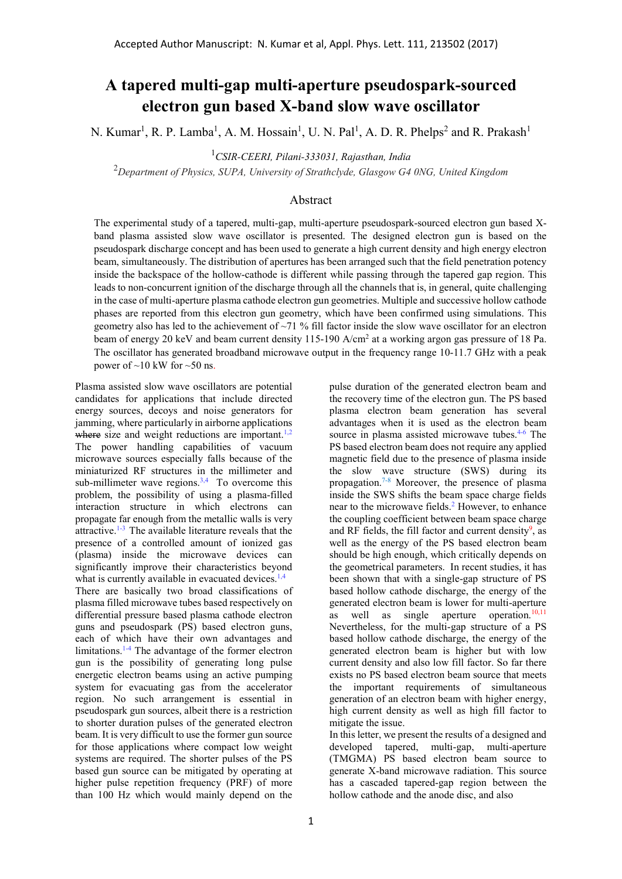## A tapered multi-gap multi-aperture pseudospark-sourced electron gun based X-band slow wave oscillator

N. Kumar<sup>1</sup>, R. P. Lamba<sup>1</sup>, A. M. Hossain<sup>1</sup>, U. N. Pal<sup>1</sup>, A. D. R. Phelps<sup>2</sup> and R. Prakash<sup>1</sup>

 $1$ CSIR-CEERI, Pilani-333031, Rajasthan, India

 $2$ Department of Physics, SUPA, University of Strathclyde, Glasgow G4 0NG, United Kingdom

## Abstract

The experimental study of a tapered, multi-gap, multi-aperture pseudospark-sourced electron gun based Xband plasma assisted slow wave oscillator is presented. The designed electron gun is based on the pseudospark discharge concept and has been used to generate a high current density and high energy electron beam, simultaneously. The distribution of apertures has been arranged such that the field penetration potency inside the backspace of the hollow-cathode is different while passing through the tapered gap region. This leads to non-concurrent ignition of the discharge through all the channels that is, in general, quite challenging in the case of multi-aperture plasma cathode electron gun geometries. Multiple and successive hollow cathode phases are reported from this electron gun geometry, which have been confirmed using simulations. This geometry also has led to the achievement of  $\sim$ 71 % fill factor inside the slow wave oscillator for an electron beam of energy 20 keV and beam current density 115-190 A/cm<sup>2</sup> at a working argon gas pressure of 18 Pa. The oscillator has generated broadband microwave output in the frequency range 10-11.7 GHz with a peak power of  $\sim$ 10 kW for  $\sim$ 50 ns.

Plasma assisted slow wave oscillators are potential candidates for applications that include directed energy sources, decoys and noise generators for jamming, where particularly in airborne applications where size and weight reductions are important.<sup>1,2</sup> The power handling capabilities of vacuum microwave sources especially falls because of the miniaturized RF structures in the millimeter and sub-millimeter wave regions.<sup>3,4</sup> To overcome this problem, the possibility of using a plasma-filled interaction structure in which electrons can propagate far enough from the metallic walls is very attractive.1-3 The available literature reveals that the presence of a controlled amount of ionized gas (plasma) inside the microwave devices can significantly improve their characteristics beyond what is currently available in evacuated devices. $1,4$ There are basically two broad classifications of plasma filled microwave tubes based respectively on differential pressure based plasma cathode electron guns and pseudospark (PS) based electron guns, each of which have their own advantages and limitations.1-4 The advantage of the former electron gun is the possibility of generating long pulse energetic electron beams using an active pumping system for evacuating gas from the accelerator region. No such arrangement is essential in pseudospark gun sources, albeit there is a restriction to shorter duration pulses of the generated electron beam. It is very difficult to use the former gun source for those applications where compact low weight systems are required. The shorter pulses of the PS based gun source can be mitigated by operating at higher pulse repetition frequency (PRF) of more than 100 Hz which would mainly depend on the

pulse duration of the generated electron beam and the recovery time of the electron gun. The PS based plasma electron beam generation has several advantages when it is used as the electron beam source in plasma assisted microwave tubes.<sup>4-6</sup> The PS based electron beam does not require any applied magnetic field due to the presence of plasma inside the slow wave structure (SWS) during its propagation.7-8 Moreover, the presence of plasma inside the SWS shifts the beam space charge fields near to the microwave fields.<sup>2</sup> However, to enhance the coupling coefficient between beam space charge and RF fields, the fill factor and current density<sup>9</sup>, as well as the energy of the PS based electron beam should be high enough, which critically depends on the geometrical parameters. In recent studies, it has been shown that with a single-gap structure of PS based hollow cathode discharge, the energy of the generated electron beam is lower for multi-aperture as well as single aperture operation. $10,11$ Nevertheless, for the multi-gap structure of a PS based hollow cathode discharge, the energy of the generated electron beam is higher but with low current density and also low fill factor. So far there exists no PS based electron beam source that meets the important requirements of simultaneous generation of an electron beam with higher energy, high current density as well as high fill factor to mitigate the issue.

In this letter, we present the results of a designed and developed tapered, multi-gap, multi-aperture (TMGMA) PS based electron beam source to generate X-band microwave radiation. This source has a cascaded tapered-gap region between the hollow cathode and the anode disc, and also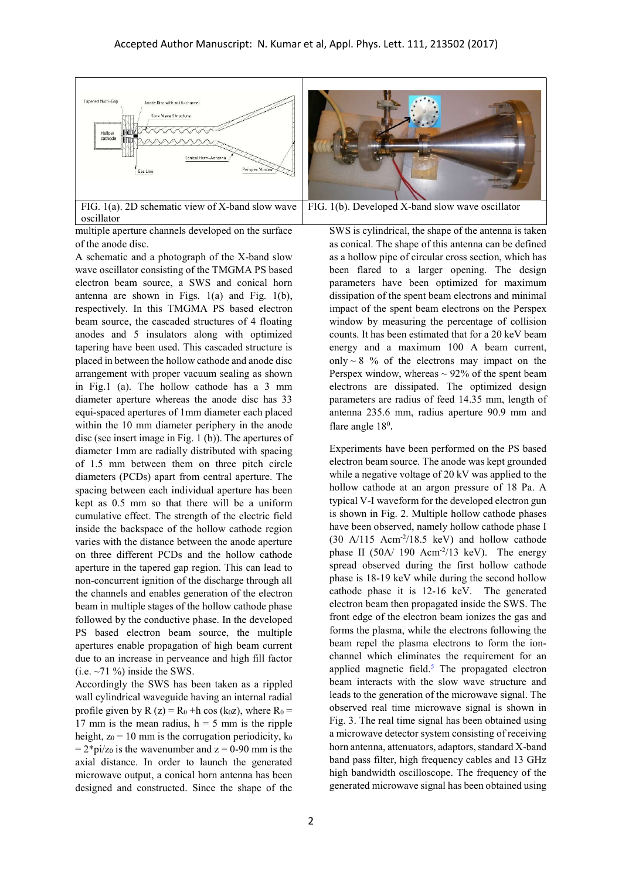

multiple aperture channels developed on the surface of the anode disc.

A schematic and a photograph of the X-band slow wave oscillator consisting of the TMGMA PS based electron beam source, a SWS and conical horn antenna are shown in Figs.  $1(a)$  and Fig.  $1(b)$ , respectively. In this TMGMA PS based electron beam source, the cascaded structures of 4 floating anodes and 5 insulators along with optimized tapering have been used. This cascaded structure is placed in between the hollow cathode and anode disc arrangement with proper vacuum sealing as shown in Fig.1 (a). The hollow cathode has a 3 mm diameter aperture whereas the anode disc has 33 equi-spaced apertures of 1mm diameter each placed within the 10 mm diameter periphery in the anode disc (see insert image in Fig. 1 (b)). The apertures of diameter 1mm are radially distributed with spacing of 1.5 mm between them on three pitch circle diameters (PCDs) apart from central aperture. The spacing between each individual aperture has been kept as 0.5 mm so that there will be a uniform cumulative effect. The strength of the electric field inside the backspace of the hollow cathode region varies with the distance between the anode aperture on three different PCDs and the hollow cathode aperture in the tapered gap region. This can lead to non-concurrent ignition of the discharge through all the channels and enables generation of the electron beam in multiple stages of the hollow cathode phase followed by the conductive phase. In the developed PS based electron beam source, the multiple apertures enable propagation of high beam current due to an increase in perveance and high fill factor (i.e.  $\sim$ 71 %) inside the SWS.

Accordingly the SWS has been taken as a rippled wall cylindrical waveguide having an internal radial profile given by R (z) =  $R_0$  +h cos (k<sub>0</sub>z), where  $R_0$  = 17 mm is the mean radius,  $h = 5$  mm is the ripple height,  $z_0 = 10$  mm is the corrugation periodicity,  $k_0$  $= 2 * pi/z<sub>0</sub>$  is the wavenumber and  $z = 0-90$  mm is the axial distance. In order to launch the generated microwave output, a conical horn antenna has been designed and constructed. Since the shape of the

SWS is cylindrical, the shape of the antenna is taken as conical. The shape of this antenna can be defined as a hollow pipe of circular cross section, which has been flared to a larger opening. The design parameters have been optimized for maximum dissipation of the spent beam electrons and minimal impact of the spent beam electrons on the Perspex window by measuring the percentage of collision counts. It has been estimated that for a 20 keV beam energy and a maximum 100 A beam current, only  $\sim$  8 % of the electrons may impact on the Perspex window, whereas  $\sim$  92% of the spent beam electrons are dissipated. The optimized design parameters are radius of feed 14.35 mm, length of antenna 235.6 mm, radius aperture 90.9 mm and flare angle 18<sup>0</sup>.

Experiments have been performed on the PS based electron beam source. The anode was kept grounded while a negative voltage of 20 kV was applied to the hollow cathode at an argon pressure of 18 Pa. A typical V-I waveform for the developed electron gun is shown in Fig. 2. Multiple hollow cathode phases have been observed, namely hollow cathode phase I  $(30 \text{ A}/115 \text{ Acm}^2/18.5 \text{ keV})$  and hollow cathode phase II (50A/ 190 Acm<sup>-2</sup>/13 keV). The energy spread observed during the first hollow cathode phase is 18-19 keV while during the second hollow cathode phase it is 12-16 keV. The generated electron beam then propagated inside the SWS. The front edge of the electron beam ionizes the gas and forms the plasma, while the electrons following the beam repel the plasma electrons to form the ionchannel which eliminates the requirement for an applied magnetic field. $5$  The propagated electron beam interacts with the slow wave structure and leads to the generation of the microwave signal. The observed real time microwave signal is shown in Fig. 3. The real time signal has been obtained using a microwave detector system consisting of receiving horn antenna, attenuators, adaptors, standard X-band band pass filter, high frequency cables and 13 GHz high bandwidth oscilloscope. The frequency of the generated microwave signal has been obtained using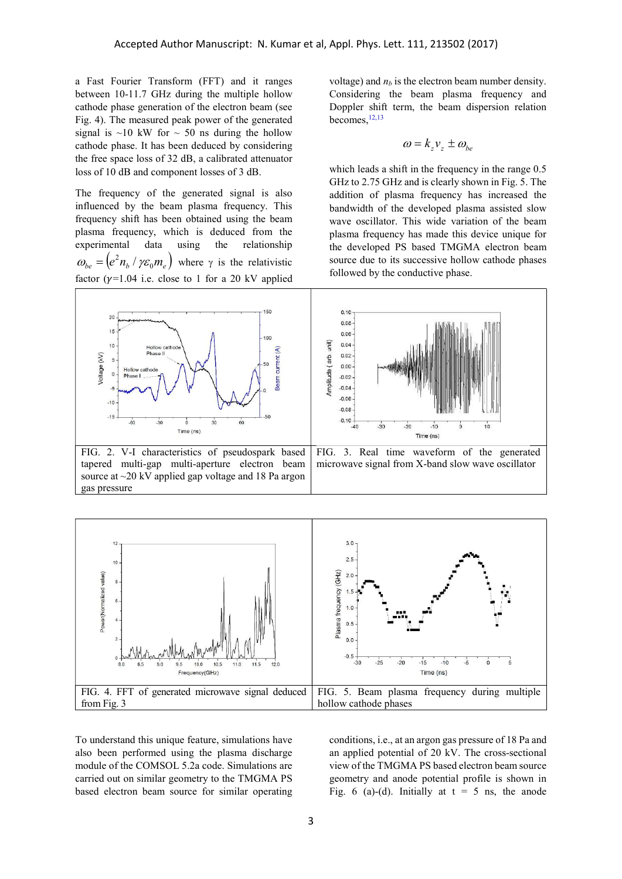a Fast Fourier Transform (FFT) and it ranges between 10-11.7 GHz during the multiple hollow cathode phase generation of the electron beam (see Fig. 4). The measured peak power of the generated signal is  $\sim$ 10 kW for  $\sim$  50 ns during the hollow cathode phase. It has been deduced by considering the free space loss of 32 dB, a calibrated attenuator loss of 10 dB and component losses of 3 dB.

The frequency of the generated signal is also influenced by the beam plasma frequency. This frequency shift has been obtained using the beam plasma frequency, which is deduced from the experimental data using the relationship  $\omega_{be} = (e^2 n_b / \gamma \varepsilon_0 m_e)$  where  $\gamma$  is the relativistic factor ( $\gamma$ =1.04 i.e. close to 1 for a 20 kV applied

gas pressure

voltage) and  $n_b$  is the electron beam number density. Considering the beam plasma frequency and Doppler shift term, the beam dispersion relation becomes, 12,13

$$
\omega = k_z v_z \pm \omega_{be}
$$

which leads a shift in the frequency in the range 0.5 GHz to 2.75 GHz and is clearly shown in Fig. 5. The addition of plasma frequency has increased the bandwidth of the developed plasma assisted slow wave oscillator. This wide variation of the beam plasma frequency has made this device unique for the developed PS based TMGMA electron beam source due to its successive hollow cathode phases followed by the conductive phase.





To understand this unique feature, simulations have also been performed using the plasma discharge module of the COMSOL 5.2a code. Simulations are carried out on similar geometry to the TMGMA PS based electron beam source for similar operating conditions, i.e., at an argon gas pressure of 18 Pa and an applied potential of 20 kV. The cross-sectional view of the TMGMA PS based electron beam source geometry and anode potential profile is shown in Fig. 6 (a)-(d). Initially at  $t = 5$  ns, the anode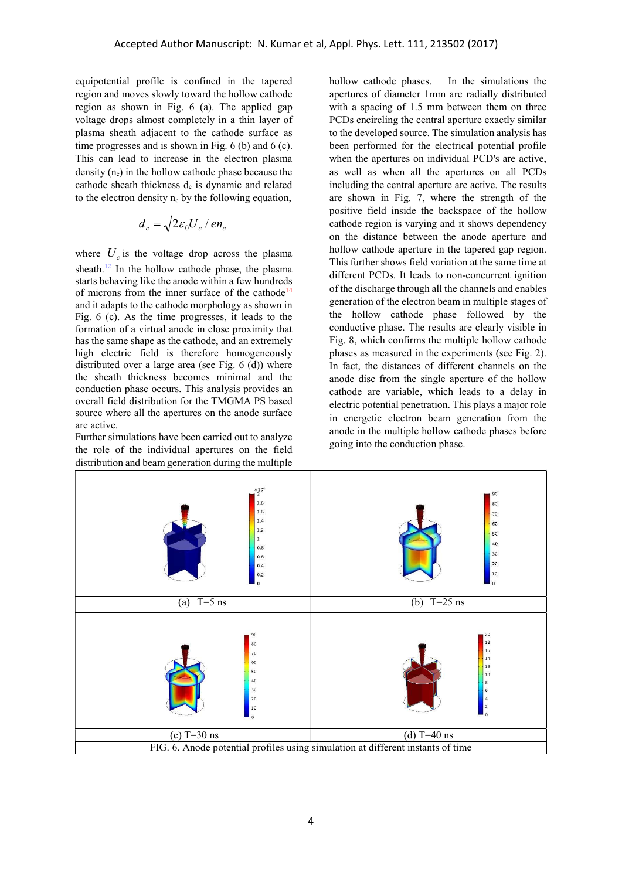equipotential profile is confined in the tapered region and moves slowly toward the hollow cathode region as shown in Fig. 6 (a). The applied gap voltage drops almost completely in a thin layer of plasma sheath adjacent to the cathode surface as time progresses and is shown in Fig. 6 (b) and 6 (c). This can lead to increase in the electron plasma density  $(n_e)$  in the hollow cathode phase because the cathode sheath thickness  $d<sub>c</sub>$  is dynamic and related to the electron density  $n_e$  by the following equation,

$$
d_c = \sqrt{2\varepsilon_0 U_c / en_e}
$$

where  $U_c$  is the voltage drop across the plasma sheath.<sup>12</sup> In the hollow cathode phase, the plasma starts behaving like the anode within a few hundreds of microns from the inner surface of the cathode<sup>14</sup> and it adapts to the cathode morphology as shown in Fig. 6 (c). As the time progresses, it leads to the formation of a virtual anode in close proximity that has the same shape as the cathode, and an extremely high electric field is therefore homogeneously distributed over a large area (see Fig. 6 (d)) where the sheath thickness becomes minimal and the conduction phase occurs. This analysis provides an overall field distribution for the TMGMA PS based source where all the apertures on the anode surface are active.

Further simulations have been carried out to analyze the role of the individual apertures on the field distribution and beam generation during the multiple

hollow cathode phases. In the simulations the apertures of diameter 1mm are radially distributed with a spacing of 1.5 mm between them on three PCDs encircling the central aperture exactly similar to the developed source. The simulation analysis has been performed for the electrical potential profile when the apertures on individual PCD's are active, as well as when all the apertures on all PCDs including the central aperture are active. The results are shown in Fig. 7, where the strength of the positive field inside the backspace of the hollow cathode region is varying and it shows dependency on the distance between the anode aperture and hollow cathode aperture in the tapered gap region. This further shows field variation at the same time at different PCDs. It leads to non-concurrent ignition of the discharge through all the channels and enables generation of the electron beam in multiple stages of the hollow cathode phase followed by the conductive phase. The results are clearly visible in Fig. 8, which confirms the multiple hollow cathode phases as measured in the experiments (see Fig. 2). In fact, the distances of different channels on the anode disc from the single aperture of the hollow cathode are variable, which leads to a delay in electric potential penetration. This plays a major role in energetic electron beam generation from the anode in the multiple hollow cathode phases before going into the conduction phase.